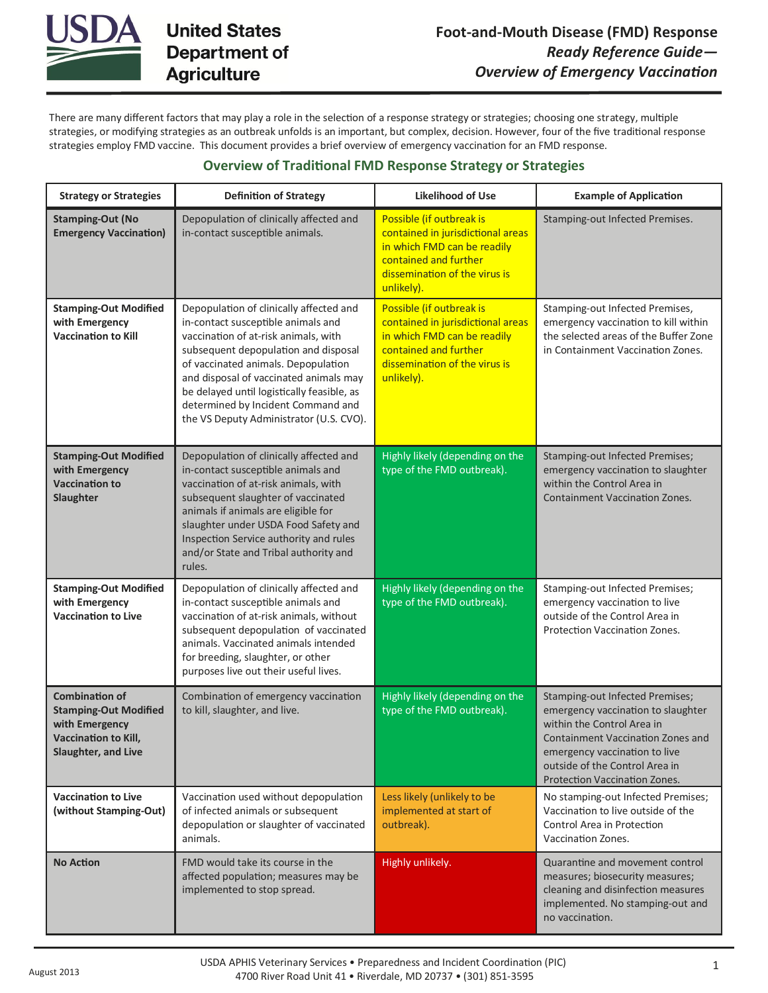

There are many different factors that may play a role in the selection of a response strategy or strategies; choosing one strategy, multiple strategies, or modifying strategies as an outbreak unfolds is an important, but complex, decision. However, four of the five traditional response strategies employ FMD vaccine. This document provides a brief overview of emergency vaccination for an FMD response.

# **Overview of Traditional FMD Response Strategy or Strategies**

| <b>Strategy or Strategies</b>                                                                                                 | <b>Definition of Strategy</b>                                                                                                                                                                                                                                                                                                                                                 | <b>Likelihood of Use</b>                                                                                                                                             | <b>Example of Application</b>                                                                                                                                                                                                                              |
|-------------------------------------------------------------------------------------------------------------------------------|-------------------------------------------------------------------------------------------------------------------------------------------------------------------------------------------------------------------------------------------------------------------------------------------------------------------------------------------------------------------------------|----------------------------------------------------------------------------------------------------------------------------------------------------------------------|------------------------------------------------------------------------------------------------------------------------------------------------------------------------------------------------------------------------------------------------------------|
| <b>Stamping-Out (No</b><br><b>Emergency Vaccination)</b>                                                                      | Depopulation of clinically affected and<br>in-contact susceptible animals.                                                                                                                                                                                                                                                                                                    | Possible (if outbreak is<br>contained in jurisdictional areas<br>in which FMD can be readily<br>contained and further<br>dissemination of the virus is<br>unlikely). | Stamping-out Infected Premises.                                                                                                                                                                                                                            |
| <b>Stamping-Out Modified</b><br>with Emergency<br><b>Vaccination to Kill</b>                                                  | Depopulation of clinically affected and<br>in-contact susceptible animals and<br>vaccination of at-risk animals, with<br>subsequent depopulation and disposal<br>of vaccinated animals. Depopulation<br>and disposal of vaccinated animals may<br>be delayed until logistically feasible, as<br>determined by Incident Command and<br>the VS Deputy Administrator (U.S. CVO). | Possible (if outbreak is<br>contained in jurisdictional areas<br>in which FMD can be readily<br>contained and further<br>dissemination of the virus is<br>unlikely). | Stamping-out Infected Premises,<br>emergency vaccination to kill within<br>the selected areas of the Buffer Zone<br>in Containment Vaccination Zones.                                                                                                      |
| <b>Stamping-Out Modified</b><br>with Emergency<br><b>Vaccination to</b><br>Slaughter                                          | Depopulation of clinically affected and<br>in-contact susceptible animals and<br>vaccination of at-risk animals, with<br>subsequent slaughter of vaccinated<br>animals if animals are eligible for<br>slaughter under USDA Food Safety and<br>Inspection Service authority and rules<br>and/or State and Tribal authority and<br>rules.                                       | Highly likely (depending on the<br>type of the FMD outbreak).                                                                                                        | Stamping-out Infected Premises;<br>emergency vaccination to slaughter<br>within the Control Area in<br><b>Containment Vaccination Zones.</b>                                                                                                               |
| <b>Stamping-Out Modified</b><br>with Emergency<br><b>Vaccination to Live</b>                                                  | Depopulation of clinically affected and<br>in-contact susceptible animals and<br>vaccination of at-risk animals, without<br>subsequent depopulation of vaccinated<br>animals. Vaccinated animals intended<br>for breeding, slaughter, or other<br>purposes live out their useful lives.                                                                                       | Highly likely (depending on the<br>type of the FMD outbreak).                                                                                                        | Stamping-out Infected Premises;<br>emergency vaccination to live<br>outside of the Control Area in<br>Protection Vaccination Zones.                                                                                                                        |
| <b>Combination of</b><br><b>Stamping-Out Modified</b><br>with Emergency<br><b>Vaccination to Kill.</b><br>Slaughter, and Live | Combination of emergency vaccination<br>to kill, slaughter, and live.                                                                                                                                                                                                                                                                                                         | Highly likely (depending on the<br>type of the FMD outbreak).                                                                                                        | Stamping-out Infected Premises;<br>emergency vaccination to slaughter<br>within the Control Area in<br><b>Containment Vaccination Zones and</b><br>emergency vaccination to live<br>outside of the Control Area in<br><b>Protection Vaccination Zones.</b> |
| <b>Vaccination to Live</b><br>(without Stamping-Out)                                                                          | Vaccination used without depopulation<br>of infected animals or subsequent<br>depopulation or slaughter of vaccinated<br>animals.                                                                                                                                                                                                                                             | Less likely (unlikely to be<br>implemented at start of<br>outbreak).                                                                                                 | No stamping-out Infected Premises;<br>Vaccination to live outside of the<br>Control Area in Protection<br>Vaccination Zones.                                                                                                                               |
| <b>No Action</b>                                                                                                              | FMD would take its course in the<br>affected population; measures may be<br>implemented to stop spread.                                                                                                                                                                                                                                                                       | <b>Highly unlikely.</b>                                                                                                                                              | Quarantine and movement control<br>measures; biosecurity measures;<br>cleaning and disinfection measures<br>implemented. No stamping-out and<br>no vaccination.                                                                                            |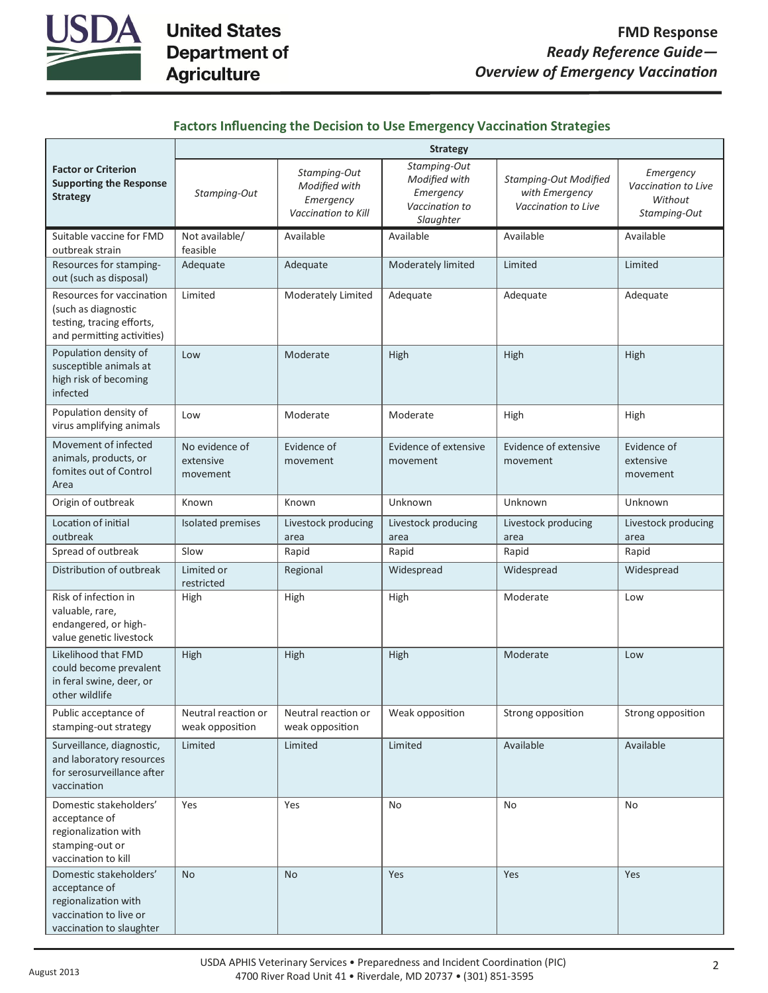

| <b>Factors Influencing the Decision to Use Emergency Vaccination Strategies</b> |  |  |  |  |
|---------------------------------------------------------------------------------|--|--|--|--|
|---------------------------------------------------------------------------------|--|--|--|--|

|                                                                                                                       | <b>Strategy</b>                         |                                                                   |                                                                           |                                                                       |                                                             |
|-----------------------------------------------------------------------------------------------------------------------|-----------------------------------------|-------------------------------------------------------------------|---------------------------------------------------------------------------|-----------------------------------------------------------------------|-------------------------------------------------------------|
| <b>Factor or Criterion</b><br><b>Supporting the Response</b><br><b>Strategy</b>                                       | Stamping-Out                            | Stamping-Out<br>Modified with<br>Emergency<br>Vaccination to Kill | Stamping-Out<br>Modified with<br>Emergency<br>Vaccination to<br>Slaughter | <b>Stamping-Out Modified</b><br>with Emergency<br>Vaccination to Live | Emergency<br>Vaccination to Live<br>Without<br>Stamping-Out |
| Suitable vaccine for FMD<br>outbreak strain                                                                           | Not available/<br>feasible              | Available                                                         | Available                                                                 | Available                                                             | Available                                                   |
| Resources for stamping-<br>out (such as disposal)                                                                     | Adequate                                | Adequate                                                          | Moderately limited                                                        | Limited                                                               | Limited                                                     |
| Resources for vaccination<br>(such as diagnostic<br>testing, tracing efforts,<br>and permitting activities)           | Limited                                 | Moderately Limited                                                | Adequate                                                                  | Adequate                                                              | Adequate                                                    |
| Population density of<br>susceptible animals at<br>high risk of becoming<br>infected                                  | Low                                     | Moderate                                                          | High                                                                      | High                                                                  | High                                                        |
| Population density of<br>virus amplifying animals                                                                     | Low                                     | Moderate                                                          | Moderate                                                                  | High                                                                  | High                                                        |
| Movement of infected<br>animals, products, or<br>fomites out of Control<br>Area                                       | No evidence of<br>extensive<br>movement | Evidence of<br>movement                                           | Evidence of extensive<br>movement                                         | Evidence of extensive<br>movement                                     | Evidence of<br>extensive<br>movement                        |
| Origin of outbreak                                                                                                    | Known                                   | Known                                                             | Unknown                                                                   | Unknown                                                               | Unknown                                                     |
| Location of initial<br>outbreak                                                                                       | Isolated premises                       | Livestock producing<br>area                                       | Livestock producing<br>area                                               | Livestock producing<br>area                                           | Livestock producing<br>area                                 |
| Spread of outbreak                                                                                                    | Slow                                    | Rapid                                                             | Rapid                                                                     | Rapid                                                                 | Rapid                                                       |
| Distribution of outbreak                                                                                              | Limited or<br>restricted                | Regional                                                          | Widespread                                                                | Widespread                                                            | Widespread                                                  |
| Risk of infection in<br>valuable, rare,<br>endangered, or high-<br>value genetic livestock                            | High                                    | High                                                              | High                                                                      | Moderate                                                              | Low                                                         |
| Likelihood that FMD<br>could become prevalent<br>in feral swine, deer, or<br>other wildlife                           | High                                    | High                                                              | High                                                                      | Moderate                                                              | Low                                                         |
| Public acceptance of<br>stamping-out strategy                                                                         | Neutral reaction or<br>weak opposition  | Neutral reaction or<br>weak opposition                            | Weak opposition                                                           | Strong opposition                                                     | Strong opposition                                           |
| Surveillance, diagnostic,<br>and laboratory resources<br>for serosurveillance after<br>vaccination                    | Limited                                 | Limited                                                           | Limited                                                                   | Available                                                             | Available                                                   |
| Domestic stakeholders'<br>acceptance of<br>regionalization with<br>stamping-out or<br>vaccination to kill             | Yes                                     | Yes                                                               | <b>No</b>                                                                 | <b>No</b>                                                             | <b>No</b>                                                   |
| Domestic stakeholders'<br>acceptance of<br>regionalization with<br>vaccination to live or<br>vaccination to slaughter | <b>No</b>                               | <b>No</b>                                                         | Yes                                                                       | Yes                                                                   | Yes                                                         |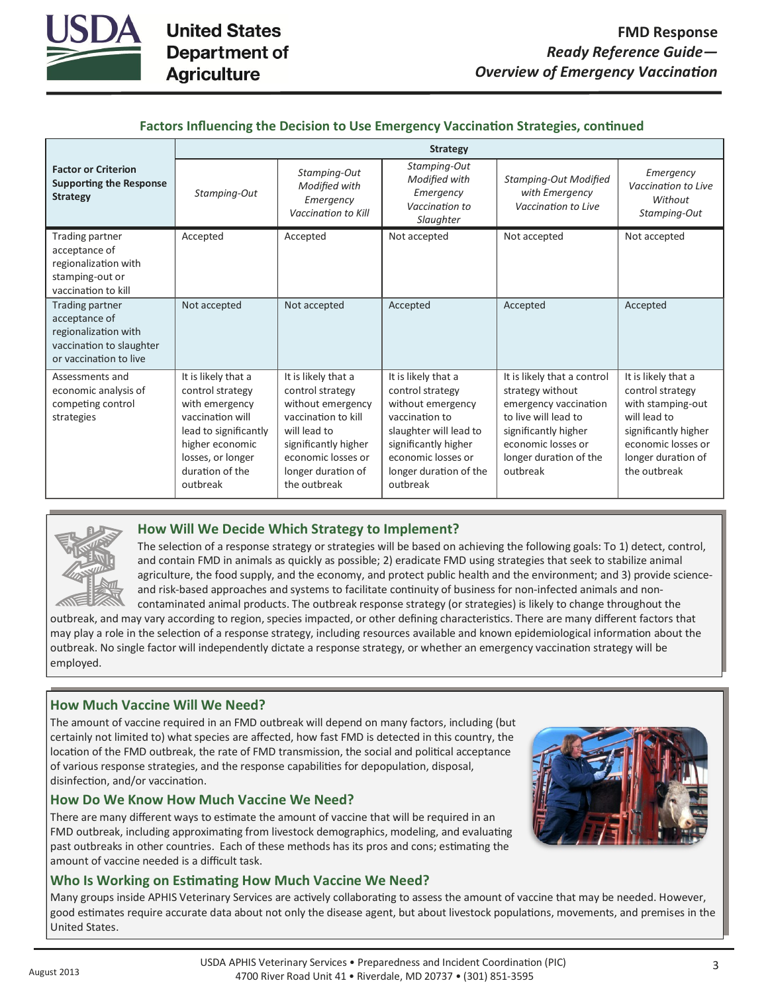

| Factors Influencing the Decision to Use Emergency Vaccination Strategies, continued |  |  |
|-------------------------------------------------------------------------------------|--|--|
|-------------------------------------------------------------------------------------|--|--|

|                                                                                                                | <b>Strategy</b>                                                                                                                                                               |                                                                                                                                                                                         |                                                                                                                                                                                              |                                                                                                                                                                                      |                                                                                                                                                                  |
|----------------------------------------------------------------------------------------------------------------|-------------------------------------------------------------------------------------------------------------------------------------------------------------------------------|-----------------------------------------------------------------------------------------------------------------------------------------------------------------------------------------|----------------------------------------------------------------------------------------------------------------------------------------------------------------------------------------------|--------------------------------------------------------------------------------------------------------------------------------------------------------------------------------------|------------------------------------------------------------------------------------------------------------------------------------------------------------------|
| <b>Factor or Criterion</b><br><b>Supporting the Response</b><br><b>Strategy</b>                                | Stamping-Out                                                                                                                                                                  | Stamping-Out<br>Modified with<br>Emergency<br>Vaccination to Kill                                                                                                                       | Stamping-Out<br>Modified with<br>Emergency<br>Vaccination to<br>Slaughter                                                                                                                    | <b>Stamping-Out Modified</b><br>with Emergency<br>Vaccination to Live                                                                                                                | Emergency<br>Vaccination to Live<br>Without<br>Stamping-Out                                                                                                      |
| Trading partner<br>acceptance of<br>regionalization with<br>stamping-out or<br>vaccination to kill             | Accepted                                                                                                                                                                      | Accepted                                                                                                                                                                                | Not accepted                                                                                                                                                                                 | Not accepted                                                                                                                                                                         | Not accepted                                                                                                                                                     |
| Trading partner<br>acceptance of<br>regionalization with<br>vaccination to slaughter<br>or vaccination to live | Not accepted                                                                                                                                                                  | Not accepted                                                                                                                                                                            | Accepted                                                                                                                                                                                     | Accepted                                                                                                                                                                             | Accepted                                                                                                                                                         |
| Assessments and<br>economic analysis of<br>competing control<br>strategies                                     | It is likely that a<br>control strategy<br>with emergency<br>vaccination will<br>lead to significantly<br>higher economic<br>losses, or longer<br>duration of the<br>outbreak | It is likely that a<br>control strategy<br>without emergency<br>vaccination to kill<br>will lead to<br>significantly higher<br>economic losses or<br>longer duration of<br>the outbreak | It is likely that a<br>control strategy<br>without emergency<br>vaccination to<br>slaughter will lead to<br>significantly higher<br>economic losses or<br>longer duration of the<br>outbreak | It is likely that a control<br>strategy without<br>emergency vaccination<br>to live will lead to<br>significantly higher<br>economic losses or<br>longer duration of the<br>outbreak | It is likely that a<br>control strategy<br>with stamping-out<br>will lead to<br>significantly higher<br>economic losses or<br>longer duration of<br>the outbreak |



# **How Will We Decide Which Strategy to Implement?**

The selection of a response strategy or strategies will be based on achieving the following goals: To 1) detect, control, and contain FMD in animals as quickly as possible; 2) eradicate FMD using strategies that seek to stabilize animal agriculture, the food supply, and the economy, and protect public health and the environment; and 3) provide scienceand risk-based approaches and systems to facilitate continuity of business for non-infected animals and noncontaminated animal products. The outbreak response strategy (or strategies) is likely to change throughout the

outbreak, and may vary according to region, species impacted, or other defining characteristics. There are many different factors that may play a role in the selection of a response strategy, including resources available and known epidemiological information about the outbreak. No single factor will independently dictate a response strategy, or whether an emergency vaccination strategy will be employed.

# **How Much Vaccine Will We Need?**

The amount of vaccine required in an FMD outbreak will depend on many factors, including (but certainly not limited to) what species are affected, how fast FMD is detected in this country, the location of the FMD outbreak, the rate of FMD transmission, the social and political acceptance of various response strategies, and the response capabilities for depopulation, disposal, disinfection, and/or vaccination.

# **How Do We Know How Much Vaccine We Need?**

There are many different ways to estimate the amount of vaccine that will be required in an FMD outbreak, including approximating from livestock demographics, modeling, and evaluating past outbreaks in other countries. Each of these methods has its pros and cons; estimating the amount of vaccine needed is a difficult task.

## **Who Is Working on Estimating How Much Vaccine We Need?**

Many groups inside APHIS Veterinary Services are actively collaborating to assess the amount of vaccine that may be needed. However, good estimates require accurate data about not only the disease agent, but about livestock populations, movements, and premises in the United States.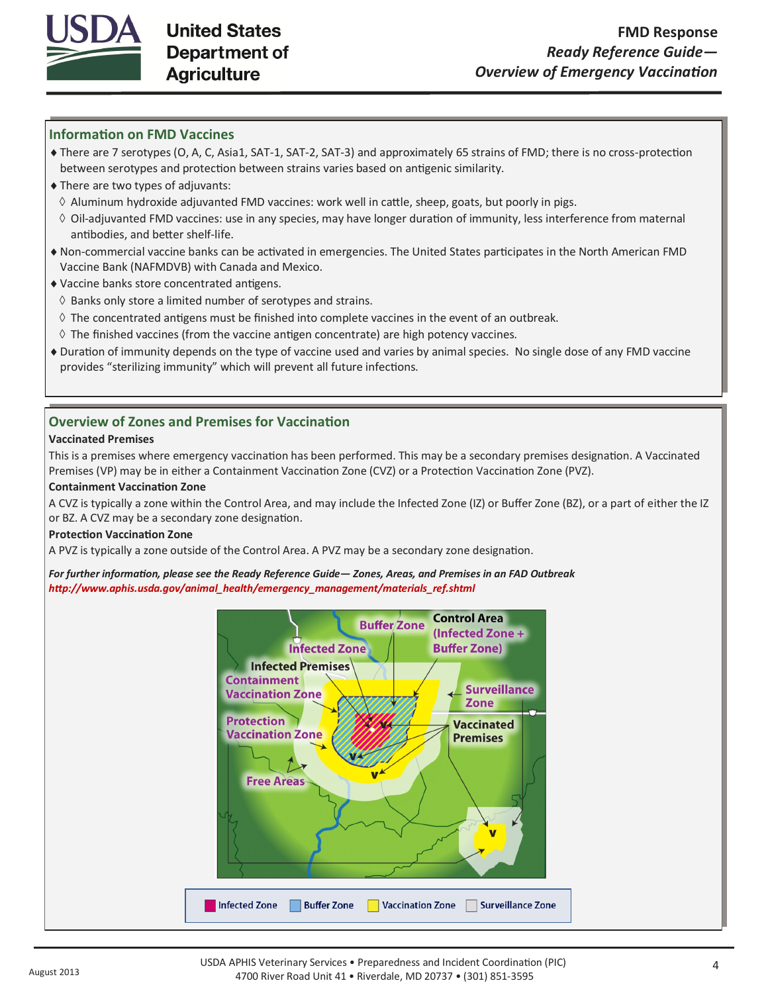

# **Information on FMD Vaccines**

- There are 7 serotypes (O, A, C, Asia1, SAT-1, SAT-2, SAT-3) and approximately 65 strains of FMD; there is no cross-protection between serotypes and protection between strains varies based on antigenic similarity.
- There are two types of adjuvants:
- $\Diamond$  Aluminum hydroxide adjuvanted FMD vaccines: work well in cattle, sheep, goats, but poorly in pigs.
- $\Diamond$  Oil-adjuvanted FMD vaccines: use in any species, may have longer duration of immunity, less interference from maternal antibodies, and better shelf-life.
- Non-commercial vaccine banks can be activated in emergencies. The United States participates in the North American FMD Vaccine Bank (NAFMDVB) with Canada and Mexico.
- Vaccine banks store concentrated antigens.
- $\Diamond$  Banks only store a limited number of serotypes and strains.
- $\Diamond$  The concentrated antigens must be finished into complete vaccines in the event of an outbreak.
- $\Diamond$  The finished vaccines (from the vaccine antigen concentrate) are high potency vaccines.
- Duration of immunity depends on the type of vaccine used and varies by animal species. No single dose of any FMD vaccine provides "sterilizing immunity" which will prevent all future infections.

# **Overview of Zones and Premises for Vaccination**

### **Vaccinated Premises**

This is a premises where emergency vaccination has been performed. This may be a secondary premises designation. A Vaccinated Premises (VP) may be in either a Containment Vaccination Zone (CVZ) or a Protection Vaccination Zone (PVZ).

### **Containment Vaccination Zone**

A CVZ is typically a zone within the Control Area, and may include the Infected Zone (IZ) or Buffer Zone (BZ), or a part of either the IZ or BZ. A CVZ may be a secondary zone designation.

### **Protection Vaccination Zone**

A PVZ is typically a zone outside of the Control Area. A PVZ may be a secondary zone designation.

*For further information, please see the Ready Reference Guide— Zones, Areas, and Premises in an FAD Outbreak http://www.aphis.usda.gov/animal\_health/emergency\_management/materials\_ref.shtml*